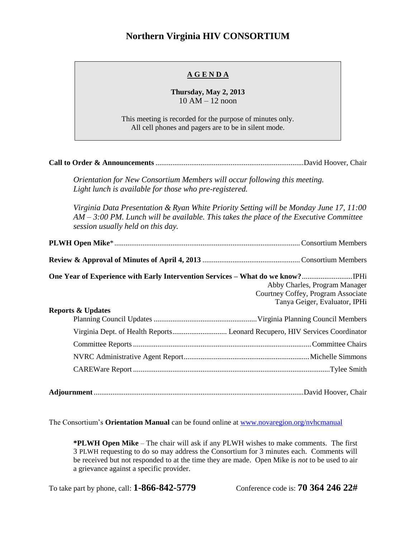## **Northern Virginia HIV CONSORTIUM**

## **A G E N D A**

**Thursday, May 2, 2013** 10 AM – 12 noon

This meeting is recorded for the purpose of minutes only. All cell phones and pagers are to be in silent mode.

|--|--|--|

*Orientation for New Consortium Members will occur following this meeting. Light lunch is available for those who pre-registered.*

*Virginia Data Presentation & Ryan White Priority Setting will be Monday June 17, 11:00 AM – 3:00 PM. Lunch will be available. This takes the place of the Executive Committee session usually held on this day.*

|                              | Abby Charles, Program Manager                                       |
|------------------------------|---------------------------------------------------------------------|
|                              | Courtney Coffey, Program Associate<br>Tanya Geiger, Evaluator, IPHi |
| <b>Reports &amp; Updates</b> |                                                                     |
|                              |                                                                     |
|                              |                                                                     |
|                              |                                                                     |
|                              |                                                                     |
|                              |                                                                     |

The Consortium's **Orientation Manual** can be found online at [www.novaregion.org/nvhcmanual](http://www.novaregion.org/nvhcmanual)

**\*PLWH Open Mike** – The chair will ask if any PLWH wishes to make comments. The first 3 PLWH requesting to do so may address the Consortium for 3 minutes each. Comments will be received but not responded to at the time they are made. Open Mike is *not* to be used to air a grievance against a specific provider.

To take part by phone, call: **1-866-842-5779** Conference code is: **70 364 246 22#**